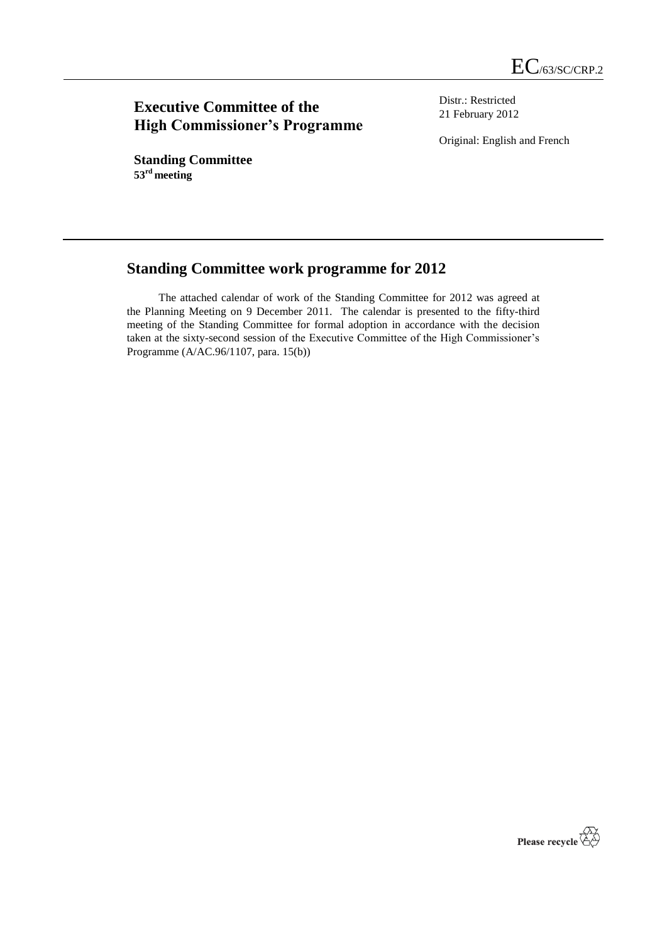## **Executive Committee of the High Commissioner's Programme**

Distr.: Restricted 21 February 2012

Original: English and French

**Standing Committee 53 rd meeting**

# **Standing Committee work programme for 2012**

The attached calendar of work of the Standing Committee for 2012 was agreed at the Planning Meeting on 9 December 2011. The calendar is presented to the fifty-third meeting of the Standing Committee for formal adoption in accordance with the decision taken at the sixty-second session of the Executive Committee of the High Commissioner's Programme (A/AC.96/1107, para. 15(b))

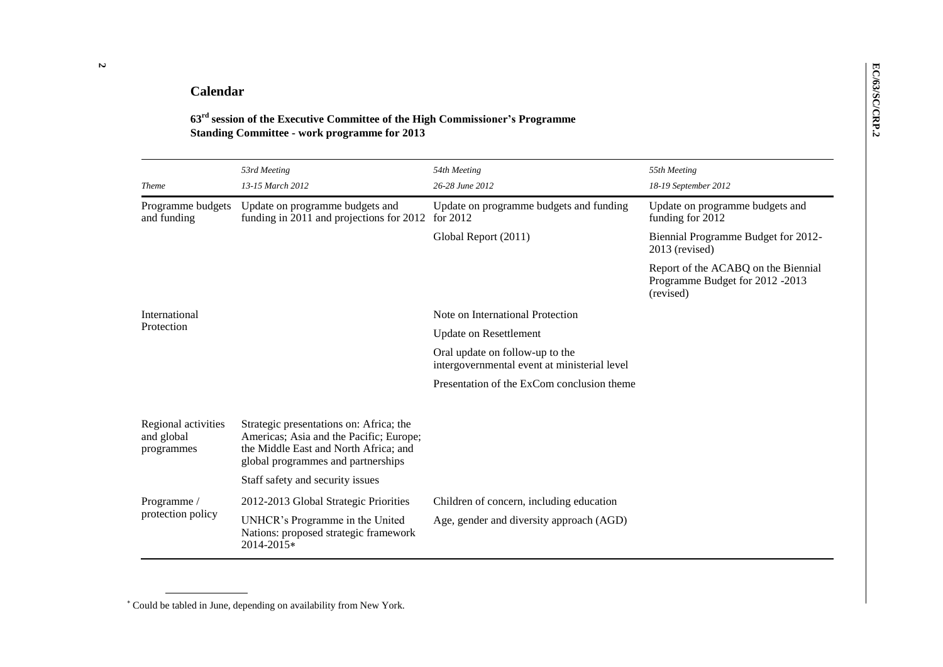## **Calendar**

#### **63 rd session of the Executive Committee of the High Commissioner's Programme Standing Committee - work programme for 2013**

|                                                 | 53rd Meeting                                                                                                                                                      | 54th Meeting                                                                    | 55th Meeting                                                                        |
|-------------------------------------------------|-------------------------------------------------------------------------------------------------------------------------------------------------------------------|---------------------------------------------------------------------------------|-------------------------------------------------------------------------------------|
| <b>Theme</b>                                    | 13-15 March 2012                                                                                                                                                  | 26-28 June 2012                                                                 | 18-19 September 2012                                                                |
| Programme budgets<br>and funding                | Update on programme budgets and<br>funding in 2011 and projections for 2012                                                                                       | Update on programme budgets and funding<br>for 2012                             | Update on programme budgets and<br>funding for 2012                                 |
|                                                 |                                                                                                                                                                   | Global Report (2011)                                                            | Biennial Programme Budget for 2012-<br>2013 (revised)                               |
|                                                 |                                                                                                                                                                   |                                                                                 | Report of the ACABQ on the Biennial<br>Programme Budget for 2012 -2013<br>(revised) |
| International<br>Protection                     |                                                                                                                                                                   | Note on International Protection                                                |                                                                                     |
|                                                 |                                                                                                                                                                   | <b>Update on Resettlement</b>                                                   |                                                                                     |
|                                                 |                                                                                                                                                                   | Oral update on follow-up to the<br>intergovernmental event at ministerial level |                                                                                     |
|                                                 |                                                                                                                                                                   | Presentation of the ExCom conclusion theme                                      |                                                                                     |
| Regional activities<br>and global<br>programmes | Strategic presentations on: Africa; the<br>Americas; Asia and the Pacific; Europe;<br>the Middle East and North Africa; and<br>global programmes and partnerships |                                                                                 |                                                                                     |
|                                                 | Staff safety and security issues                                                                                                                                  |                                                                                 |                                                                                     |
| Programme /<br>protection policy                | 2012-2013 Global Strategic Priorities                                                                                                                             | Children of concern, including education                                        |                                                                                     |
|                                                 | UNHCR's Programme in the United<br>Nations: proposed strategic framework<br>2014-2015*                                                                            | Age, gender and diversity approach (AGD)                                        |                                                                                     |

Could be tabled in June, depending on availability from New York.